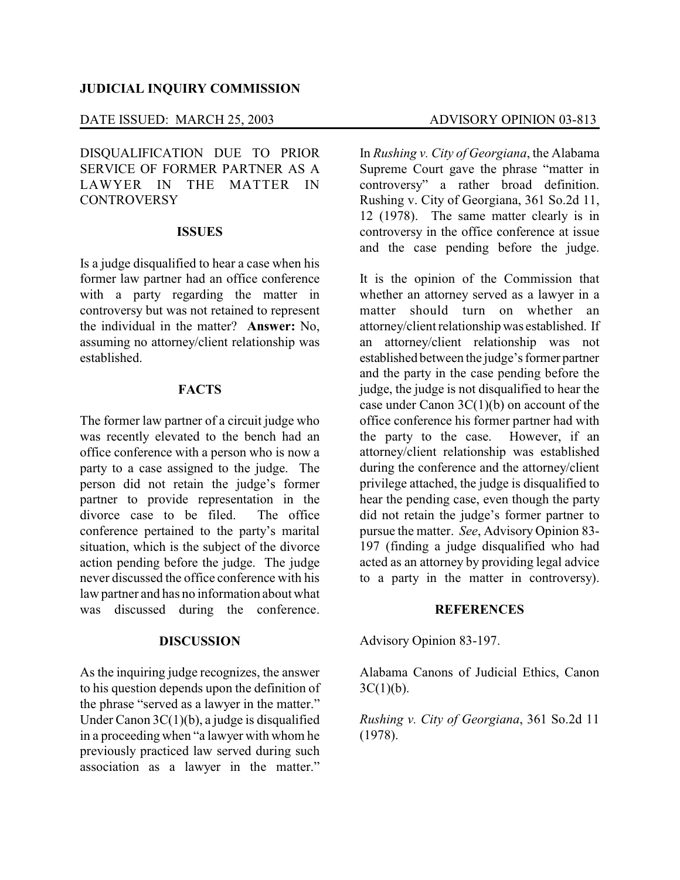### **JUDICIAL INQUIRY COMMISSION**

# DATE ISSUED: MARCH 25, 2003 ADVISORY OPINION 03-813

DISQUALIFICATION DUE TO PRIOR SERVICE OF FORMER PARTNER AS A LAWYER IN THE MATTER IN **CONTROVERSY** 

## **ISSUES**

Is a judge disqualified to hear a case when his former law partner had an office conference with a party regarding the matter in controversy but was not retained to represent the individual in the matter? **Answer:** No, assuming no attorney/client relationship was established.

## **FACTS**

The former law partner of a circuit judge who was recently elevated to the bench had an office conference with a person who is now a party to a case assigned to the judge. The person did not retain the judge's former partner to provide representation in the divorce case to be filed. The office conference pertained to the party's marital situation, which is the subject of the divorce action pending before the judge. The judge never discussed the office conference with his law partner and has no information about what was discussed during the conference.

## **DISCUSSION**

As the inquiring judge recognizes, the answer to his question depends upon the definition of the phrase "served as a lawyer in the matter." Under Canon 3C(1)(b), a judge is disqualified in a proceeding when "a lawyer with whom he previously practiced law served during such association as a lawyer in the matter."

In *Rushing v. City of Georgiana*, the Alabama Supreme Court gave the phrase "matter in controversy" a rather broad definition. Rushing v. City of Georgiana, 361 So.2d 11, 12 (1978). The same matter clearly is in controversy in the office conference at issue and the case pending before the judge.

It is the opinion of the Commission that whether an attorney served as a lawyer in a matter should turn on whether an attorney/client relationship was established. If an attorney/client relationship was not established between the judge's former partner and the party in the case pending before the judge, the judge is not disqualified to hear the case under Canon  $3C(1)(b)$  on account of the office conference his former partner had with the party to the case. However, if an attorney/client relationship was established during the conference and the attorney/client privilege attached, the judge is disqualified to hear the pending case, even though the party did not retain the judge's former partner to pursue the matter. *See*, Advisory Opinion 83- 197 (finding a judge disqualified who had acted as an attorney by providing legal advice to a party in the matter in controversy).

## **REFERENCES**

Advisory Opinion 83-197.

Alabama Canons of Judicial Ethics, Canon  $3C(1)(b)$ .

*Rushing v. City of Georgiana*, 361 So.2d 11 (1978).